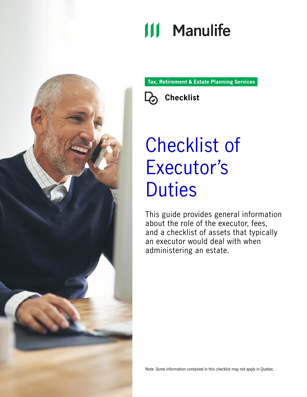## **111 Manulife**

**Tax, Retirement & Estate Planning Services**



# Checklist of Executor's **Duties**

This guide provides general information about the role of the executor, fees, and a checklist of assets that typically an executor would deal with when administering an estate.



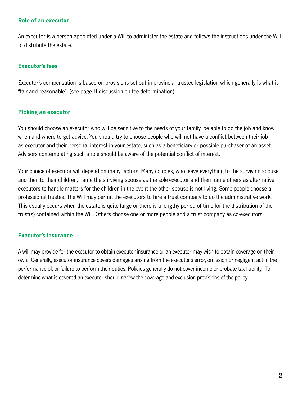#### **Role of an executor**

An executor is a person appointed under a Will to administer the estate and follows the instructions under the Will to distribute the estate.

#### **Executor's fees**

Executor's compensation is based on provisions set out in provincial trustee legislation which generally is what is "fair and reasonable". (see page 11 discussion on fee determination)

#### **Picking an executor**

You should choose an executor who will be sensitive to the needs of your family, be able to do the job and know when and where to get advice. You should try to choose people who will not have a conflict between their job as executor and their personal interest in your estate, such as a beneficiary or possible purchaser of an asset. Advisors contemplating such a role should be aware of the potential conflict of interest.

Your choice of executor will depend on many factors. Many couples, who leave everything to the surviving spouse and then to their children, name the surviving spouse as the sole executor and then name others as alternative executors to handle matters for the children in the event the other spouse is not living. Some people choose a professional trustee. The Will may permit the executors to hire a trust company to do the administrative work. This usually occurs when the estate is quite large or there is a lengthy period of time for the distribution of the trust(s) contained within the Will. Others choose one or more people and a trust company as co-executors.

#### **Executor's insurance**

A will may provide for the executor to obtain executor insurance or an executor may wish to obtain coverage on their own. Generally, executor insurance covers damages arising from the executor's error, omission or negligent act in the performance of, or failure to perform their duties. Policies generally do not cover income or probate tax liability. To determine what is covered an executor should review the coverage and exclusion provisions of the policy.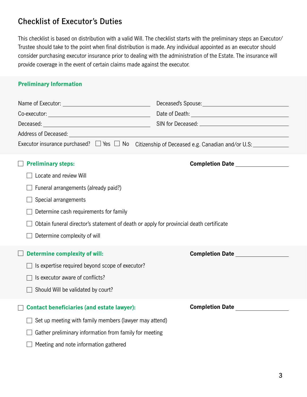### **Checklist of Executor's Duties**

This checklist is based on distribution with a valid Will. The checklist starts with the preliminary steps an Executor/ Trustee should take to the point when final distribution is made. Any individual appointed as an executor should consider purchasing executor insurance prior to dealing with the administration of the Estate. The insurance will provide coverage in the event of certain claims made against the executor.

#### **Preliminary Information**

| Executor insurance purchased? $\Box$ Yes $\Box$ No Citizenship of Deceased e.g. Canadian and/or U.S: |                                   |
|------------------------------------------------------------------------------------------------------|-----------------------------------|
| <b>Preliminary steps:</b>                                                                            | Completion Date _________________ |
| Locate and review Will                                                                               |                                   |
| Funeral arrangements (already paid?)                                                                 |                                   |
| Special arrangements                                                                                 |                                   |
| Determine cash requirements for family                                                               |                                   |
| Obtain funeral director's statement of death or apply for provincial death certificate               |                                   |
| Determine complexity of will                                                                         |                                   |
| <b>Determine complexity of will:</b>                                                                 | <b>Completion Date</b>            |
| Is expertise required beyond scope of executor?                                                      |                                   |
| Is executor aware of conflicts?                                                                      |                                   |
| Should Will be validated by court?                                                                   |                                   |
|                                                                                                      |                                   |
| <b>Contact beneficiaries (and estate lawyer):</b>                                                    | <b>Completion Date</b>            |
| Set up meeting with family members (lawyer may attend)                                               |                                   |
| Gather preliminary information from family for meeting                                               |                                   |
| Meeting and note information gathered                                                                |                                   |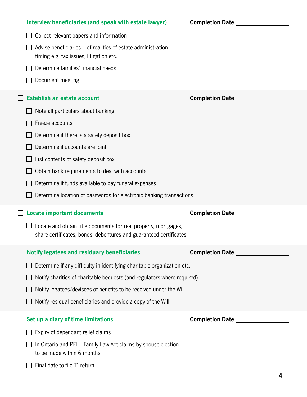| Interview beneficiaries (and speak with estate lawyer)                                                                               | <b>Completion Date Completion Date</b> |
|--------------------------------------------------------------------------------------------------------------------------------------|----------------------------------------|
| Collect relevant papers and information                                                                                              |                                        |
| Advise beneficiaries – of realities of estate administration<br>timing e.g. tax issues, litigation etc.                              |                                        |
| Determine families' financial needs                                                                                                  |                                        |
| Document meeting                                                                                                                     |                                        |
| <b>Establish an estate account</b>                                                                                                   | <b>Completion Date</b>                 |
| Note all particulars about banking                                                                                                   |                                        |
| Freeze accounts                                                                                                                      |                                        |
| Determine if there is a safety deposit box                                                                                           |                                        |
| Determine if accounts are joint                                                                                                      |                                        |
| List contents of safety deposit box                                                                                                  |                                        |
| Obtain bank requirements to deal with accounts                                                                                       |                                        |
| Determine if funds available to pay funeral expenses                                                                                 |                                        |
|                                                                                                                                      |                                        |
| Determine location of passwords for electronic banking transactions                                                                  |                                        |
| <b>Locate important documents</b>                                                                                                    | <b>Completion Date</b>                 |
| Locate and obtain title documents for real property, mortgages,<br>share certificates, bonds, debentures and guaranteed certificates |                                        |
| <b>Notify legatees and residuary beneficiaries</b>                                                                                   | <b>Completion Date Completion</b>      |
| Determine if any difficulty in identifying charitable organization etc.                                                              |                                        |
| Notify charities of charitable bequests (and regulators where required)                                                              |                                        |
| Notify legatees/devisees of benefits to be received under the Will                                                                   |                                        |
| Notify residual beneficiaries and provide a copy of the Will                                                                         |                                        |
| Set up a diary of time limitations                                                                                                   |                                        |
| Expiry of dependant relief claims                                                                                                    |                                        |
| In Ontario and PEI – Family Law Act claims by spouse election<br>to be made within 6 months                                          |                                        |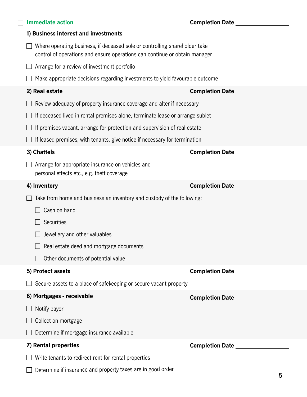| <b>Immediate action</b>                                                                                                                                  | <b>Completion Date Completion Date</b>                                                                                       |
|----------------------------------------------------------------------------------------------------------------------------------------------------------|------------------------------------------------------------------------------------------------------------------------------|
| 1) Business interest and investments                                                                                                                     |                                                                                                                              |
| Where operating business, if deceased sole or controlling shareholder take<br>control of operations and ensure operations can continue or obtain manager |                                                                                                                              |
| Arrange for a review of investment portfolio                                                                                                             |                                                                                                                              |
| Make appropriate decisions regarding investments to yield favourable outcome                                                                             |                                                                                                                              |
| 2) Real estate                                                                                                                                           | <b>Completion Date Completion</b>                                                                                            |
| Review adequacy of property insurance coverage and alter if necessary                                                                                    |                                                                                                                              |
| If deceased lived in rental premises alone, terminate lease or arrange sublet                                                                            |                                                                                                                              |
| If premises vacant, arrange for protection and supervision of real estate                                                                                |                                                                                                                              |
| If leased premises, with tenants, give notice if necessary for termination                                                                               |                                                                                                                              |
| 3) Chattels                                                                                                                                              | <b>Completion Date</b> <u>Late</u> and Dente and Dente and Dente and Dente and Dente and Dente and Dente and Dente and Dente |
| Arrange for appropriate insurance on vehicles and<br>personal effects etc., e.g. theft coverage                                                          |                                                                                                                              |
| 4) Inventory                                                                                                                                             | <b>Completion Date Completion Date</b>                                                                                       |
|                                                                                                                                                          |                                                                                                                              |
| Take from home and business an inventory and custody of the following:                                                                                   |                                                                                                                              |
| Cash on hand                                                                                                                                             |                                                                                                                              |
| Securities                                                                                                                                               |                                                                                                                              |
| Jewellery and other valuables                                                                                                                            |                                                                                                                              |
| Real estate deed and mortgage documents                                                                                                                  |                                                                                                                              |
| Other documents of potential value                                                                                                                       |                                                                                                                              |
| 5) Protect assets                                                                                                                                        | Completion Date <u>Completion</u>                                                                                            |
| Secure assets to a place of safekeeping or secure vacant property                                                                                        |                                                                                                                              |
| 6) Mortgages - receivable                                                                                                                                | Completion Date __________________                                                                                           |
| Notify payor                                                                                                                                             |                                                                                                                              |
| Collect on mortgage                                                                                                                                      |                                                                                                                              |
| Determine if mortgage insurance available                                                                                                                |                                                                                                                              |
| 7) Rental properties                                                                                                                                     | <b>Completion Date</b> <u>Completion</u>                                                                                     |
| Write tenants to redirect rent for rental properties                                                                                                     |                                                                                                                              |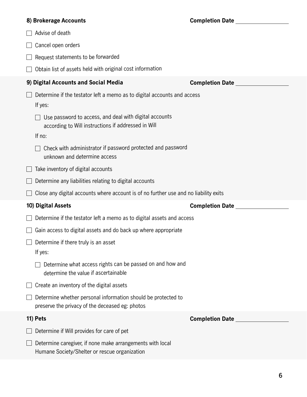| 8) Brokerage Accounts                                                                                            | <b>Completion Date Completion</b>      |
|------------------------------------------------------------------------------------------------------------------|----------------------------------------|
| Advise of death                                                                                                  |                                        |
| Cancel open orders                                                                                               |                                        |
| Request statements to be forwarded                                                                               |                                        |
| Obtain list of assets held with original cost information                                                        |                                        |
| 9) Digital Accounts and Social Media                                                                             | <b>Completion Date Completion Date</b> |
| Determine if the testator left a memo as to digital accounts and access<br>If yes:                               |                                        |
| Use password to access, and deal with digital accounts<br>according to Will instructions if addressed in Will    |                                        |
| If no:                                                                                                           |                                        |
| Check with administrator if password protected and password<br>unknown and determine access                      |                                        |
| Take inventory of digital accounts                                                                               |                                        |
| Determine any liabilities relating to digital accounts                                                           |                                        |
|                                                                                                                  |                                        |
| Close any digital accounts where account is of no further use and no liability exits                             |                                        |
| 10) Digital Assets                                                                                               | <b>Completion Date</b>                 |
| Determine if the testator left a memo as to digital assets and access                                            |                                        |
| Gain access to digital assets and do back up where appropriate                                                   |                                        |
| Determine if there truly is an asset<br>If yes:                                                                  |                                        |
| Determine what access rights can be passed on and how and<br>determine the value if ascertainable                |                                        |
| Create an inventory of the digital assets                                                                        |                                        |
| Determine whether personal information should be protected to<br>preserve the privacy of the deceased eg: photos |                                        |
| 11) Pets                                                                                                         | <b>Completion Date</b>                 |
| Determine if Will provides for care of pet                                                                       |                                        |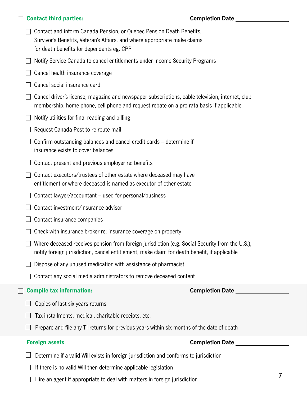| <b>Contact third parties:</b>                                                                                                                                                                   | <b>Completion Date</b> |
|-------------------------------------------------------------------------------------------------------------------------------------------------------------------------------------------------|------------------------|
| Contact and inform Canada Pension, or Quebec Pension Death Benefits,<br>Survivor's Benefits, Veteran's Affairs, and where appropriate make claims<br>for death benefits for dependants eg. CPP  |                        |
| Notify Service Canada to cancel entitlements under Income Security Programs                                                                                                                     |                        |
| Cancel health insurance coverage                                                                                                                                                                |                        |
| Cancel social insurance card                                                                                                                                                                    |                        |
| Cancel driver's license, magazine and newspaper subscriptions, cable television, internet, club<br>membership, home phone, cell phone and request rebate on a pro rata basis if applicable      |                        |
| Notify utilities for final reading and billing                                                                                                                                                  |                        |
| Request Canada Post to re-route mail                                                                                                                                                            |                        |
| Confirm outstanding balances and cancel credit cards – determine if<br>insurance exists to cover balances                                                                                       |                        |
| Contact present and previous employer re: benefits                                                                                                                                              |                        |
| Contact executors/trustees of other estate where deceased may have<br>entitlement or where deceased is named as executor of other estate                                                        |                        |
| Contact lawyer/accountant – used for personal/business                                                                                                                                          |                        |
| Contact investment/insurance advisor                                                                                                                                                            |                        |
| Contact insurance companies                                                                                                                                                                     |                        |
| Check with insurance broker re: insurance coverage on property                                                                                                                                  |                        |
| Where deceased receives pension from foreign jurisdiction (e.g. Social Security from the U.S.),<br>notify foreign jurisdiction, cancel entitlement, make claim for death benefit, if applicable |                        |
| Dispose of any unused medication with assistance of pharmacist                                                                                                                                  |                        |
| Contact any social media administrators to remove deceased content                                                                                                                              |                        |
| <b>Compile tax information:</b>                                                                                                                                                                 | <b>Completion Date</b> |
| Copies of last six years returns<br>Tax installments, medical, charitable receipts, etc.<br>Prepare and file any T1 returns for previous years within six months of the date of death           |                        |
| <b>Foreign assets</b>                                                                                                                                                                           | <b>Completion Date</b> |
| Determine if a valid Will exists in foreign jurisdiction and conforms to jurisdiction                                                                                                           |                        |
| If there is no valid Will then determine applicable legislation                                                                                                                                 |                        |
| Hire an agent if appropriate to deal with matters in foreign jurisdiction                                                                                                                       | 7                      |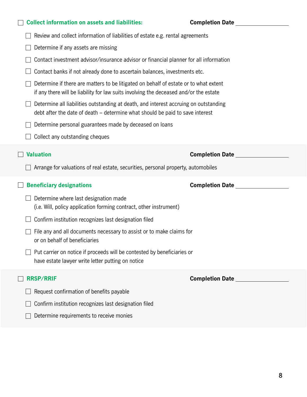| <b>Collect information on assets and liabilities:</b>                                                                                                                         | <b>Completion Date Completion Date</b> |
|-------------------------------------------------------------------------------------------------------------------------------------------------------------------------------|----------------------------------------|
| Review and collect information of liabilities of estate e.g. rental agreements                                                                                                |                                        |
| Determine if any assets are missing                                                                                                                                           |                                        |
| Contact investment advisor/insurance advisor or financial planner for all information                                                                                         |                                        |
| Contact banks if not already done to ascertain balances, investments etc.                                                                                                     |                                        |
| Determine if there are matters to be litigated on behalf of estate or to what extent<br>if any there will be liability for law suits involving the deceased and/or the estate |                                        |
| Determine all liabilities outstanding at death, and interest accruing on outstanding<br>debt after the date of death – determine what should be paid to save interest         |                                        |
| Determine personal guarantees made by deceased on loans                                                                                                                       |                                        |
| Collect any outstanding cheques                                                                                                                                               |                                        |
| <b>Valuation</b>                                                                                                                                                              | <b>Completion Date</b>                 |
| Arrange for valuations of real estate, securities, personal property, automobiles                                                                                             |                                        |
| <b>Beneficiary designations</b>                                                                                                                                               | <b>Completion Date</b>                 |
| Determine where last designation made<br>(i.e. Will, policy application forming contract, other instrument)                                                                   |                                        |
| Confirm institution recognizes last designation filed                                                                                                                         |                                        |
| File any and all documents necessary to assist or to make claims for<br>or on behalf of beneficiaries                                                                         |                                        |
| Put carrier on notice if proceeds will be contested by beneficiaries or<br>have estate lawyer write letter putting on notice                                                  |                                        |
| <b>RRSP/RRIF</b>                                                                                                                                                              | <b>Completion Date</b>                 |
| Request confirmation of benefits payable                                                                                                                                      |                                        |
| Confirm institution recognizes last designation filed                                                                                                                         |                                        |
| Determine requirements to receive monies                                                                                                                                      |                                        |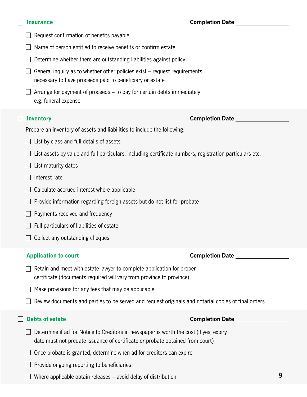| <b>Insurance</b>                                                                                                                                                        | <b>Completion Date Completion Date</b> |   |
|-------------------------------------------------------------------------------------------------------------------------------------------------------------------------|----------------------------------------|---|
| Request confirmation of benefits payable                                                                                                                                |                                        |   |
| Name of person entitled to receive benefits or confirm estate                                                                                                           |                                        |   |
| Determine whether there are outstanding liabilities against policy                                                                                                      |                                        |   |
| General inquiry as to whether other policies exist - request requirements<br>necessary to have proceeds paid to beneficiary or estate                                   |                                        |   |
| Arrange for payment of proceeds – to pay for certain debts immediately<br>e.g. funeral expense                                                                          |                                        |   |
| <b>Inventory</b>                                                                                                                                                        | <b>Completion Date</b>                 |   |
| Prepare an inventory of assets and liabilities to include the following:                                                                                                |                                        |   |
| List by class and full details of assets                                                                                                                                |                                        |   |
| List assets by value and full particulars, including certificate numbers, registration particulars etc.                                                                 |                                        |   |
| List maturity dates                                                                                                                                                     |                                        |   |
| Interest rate                                                                                                                                                           |                                        |   |
| Calculate accrued interest where applicable                                                                                                                             |                                        |   |
| Provide information regarding foreign assets but do not list for probate                                                                                                |                                        |   |
| Payments received and frequency                                                                                                                                         |                                        |   |
| Full particulars of liabilities of estate                                                                                                                               |                                        |   |
| Collect any outstanding cheques                                                                                                                                         |                                        |   |
| <b>Application to court</b>                                                                                                                                             | <b>Completion Date</b>                 |   |
| Retain and meet with estate lawyer to complete application for proper<br>certificate (documents required will vary from province to province)                           |                                        |   |
| Make provisions for any fees that may be applicable                                                                                                                     |                                        |   |
| Review documents and parties to be served and request originals and notarial copies of final orders                                                                     |                                        |   |
| <b>Debts of estate</b>                                                                                                                                                  | <b>Completion Date</b>                 |   |
| Determine if ad for Notice to Creditors in newspaper is worth the cost (if yes, expiry<br>date must not predate issuance of certificate or probate obtained from court) |                                        |   |
| Once probate is granted, determine when ad for creditors can expire                                                                                                     |                                        |   |
| Provide ongoing reporting to beneficiaries                                                                                                                              |                                        |   |
| Where applicable obtain releases – avoid delay of distribution                                                                                                          |                                        | 9 |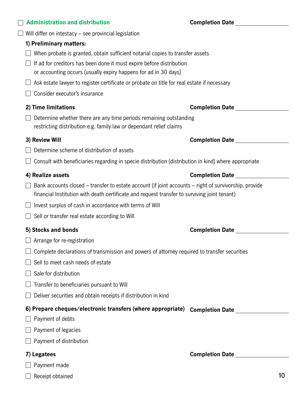| <b>Administration and distribution</b>                                                                                                                                                                | <b>Completion Date Completion Date</b> |  |
|-------------------------------------------------------------------------------------------------------------------------------------------------------------------------------------------------------|----------------------------------------|--|
| Will differ on intestacy – see provincial legislation                                                                                                                                                 |                                        |  |
| 1) Preliminary matters:                                                                                                                                                                               |                                        |  |
| When probate is granted, obtain sufficient notarial copies to transfer assets                                                                                                                         |                                        |  |
| If ad for creditors has been done it must expire before distribution                                                                                                                                  |                                        |  |
| or accounting occurs (usually expiry happens for ad in 30 days)                                                                                                                                       |                                        |  |
| Ask estate lawyer to register certificate or probate on title for real estate if necessary                                                                                                            |                                        |  |
| Consider executor's insurance                                                                                                                                                                         |                                        |  |
| 2) Time limitations                                                                                                                                                                                   | <b>Completion Date</b>                 |  |
| Determine whether there are any time periods remaining outstanding<br>restricting distribution e.g. family law or dependant relief claims                                                             |                                        |  |
| 3) Review Will                                                                                                                                                                                        | <b>Completion Date</b>                 |  |
| Determine scheme of distribution of assets                                                                                                                                                            |                                        |  |
| Consult with beneficiaries regarding in specie distribution (distribution in kind) where appropriate                                                                                                  |                                        |  |
| 4) Realize assets                                                                                                                                                                                     | <b>Completion Date</b> ___             |  |
| Bank accounts closed – transfer to estate account (if joint accounts – right of survivorship, provide<br>financial Institution with death certificate and request transfer to surviving joint tenant) |                                        |  |
| Invest surplus of cash in accordance with terms of Will                                                                                                                                               |                                        |  |
| Sell or transfer real estate according to Will                                                                                                                                                        |                                        |  |
| 5) Stocks and bonds                                                                                                                                                                                   | <b>Completion Date</b>                 |  |
| Arrange for re-registration                                                                                                                                                                           |                                        |  |
| Complete declarations of transmission and powers of attorney required to transfer securities                                                                                                          |                                        |  |
| Sell to meet cash needs of estate                                                                                                                                                                     |                                        |  |
| Sale for distribution                                                                                                                                                                                 |                                        |  |
| Transfer to beneficiaries pursuant to Will                                                                                                                                                            |                                        |  |
| Deliver securities and obtain receipts if distribution in kind                                                                                                                                        |                                        |  |
| 6) Prepare cheques/electronic transfers (where appropriate)                                                                                                                                           | <b>Completion Date</b>                 |  |
| Payment of debts                                                                                                                                                                                      |                                        |  |
| Payment of legacies                                                                                                                                                                                   |                                        |  |
| Payment of distribution                                                                                                                                                                               |                                        |  |
| 7) Legatees                                                                                                                                                                                           | <b>Completion Date</b>                 |  |
| Payment made                                                                                                                                                                                          |                                        |  |
| Receipt obtained                                                                                                                                                                                      | 10                                     |  |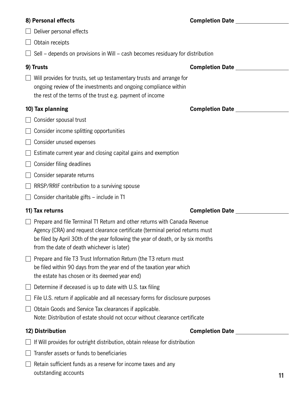| 8) Personal effects                                                                                                                                                                                                                                                                         | <b>Completion Date Completion</b> |  |
|---------------------------------------------------------------------------------------------------------------------------------------------------------------------------------------------------------------------------------------------------------------------------------------------|-----------------------------------|--|
| Deliver personal effects                                                                                                                                                                                                                                                                    |                                   |  |
| Obtain receipts                                                                                                                                                                                                                                                                             |                                   |  |
| Sell – depends on provisions in Will – cash becomes residuary for distribution                                                                                                                                                                                                              |                                   |  |
| 9) Trusts                                                                                                                                                                                                                                                                                   | <b>Completion Date</b>            |  |
| Will provides for trusts, set up testamentary trusts and arrange for<br>ongoing review of the investments and ongoing compliance within<br>the rest of the terms of the trust e.g. payment of income                                                                                        |                                   |  |
| 10) Tax planning                                                                                                                                                                                                                                                                            | Completion Date <u>completion</u> |  |
| Consider spousal trust                                                                                                                                                                                                                                                                      |                                   |  |
| Consider income splitting opportunities                                                                                                                                                                                                                                                     |                                   |  |
| Consider unused expenses                                                                                                                                                                                                                                                                    |                                   |  |
| Estimate current year and closing capital gains and exemption                                                                                                                                                                                                                               |                                   |  |
| Consider filing deadlines                                                                                                                                                                                                                                                                   |                                   |  |
| Consider separate returns                                                                                                                                                                                                                                                                   |                                   |  |
| RRSP/RRIF contribution to a surviving spouse                                                                                                                                                                                                                                                |                                   |  |
| Consider charitable gifts – include in T1                                                                                                                                                                                                                                                   |                                   |  |
| 11) Tax returns                                                                                                                                                                                                                                                                             | <b>Completion Date</b>            |  |
| Prepare and file Terminal T1 Return and other returns with Canada Revenue<br>Agency (CRA) and request clearance certificate (terminal period returns must<br>be filed by April 30th of the year following the year of death, or by six months<br>from the date of death whichever is later) |                                   |  |
| Prepare and file T3 Trust Information Return (the T3 return must<br>be filed within 90 days from the year end of the taxation year which<br>the estate has chosen or its deemed year end)                                                                                                   |                                   |  |
| Determine if deceased is up to date with U.S. tax filing                                                                                                                                                                                                                                    |                                   |  |
| File U.S. return if applicable and all necessary forms for disclosure purposes                                                                                                                                                                                                              |                                   |  |
| Obtain Goods and Service Tax clearances if applicable.<br>Note: Distribution of estate should not occur without clearance certificate                                                                                                                                                       |                                   |  |
| 12) Distribution                                                                                                                                                                                                                                                                            | <b>Completion Date</b>            |  |
| If Will provides for outright distribution, obtain release for distribution                                                                                                                                                                                                                 |                                   |  |
| Transfer assets or funds to beneficiaries                                                                                                                                                                                                                                                   |                                   |  |
| Retain sufficient funds as a reserve for income taxes and any<br>outstanding accounts                                                                                                                                                                                                       | 11                                |  |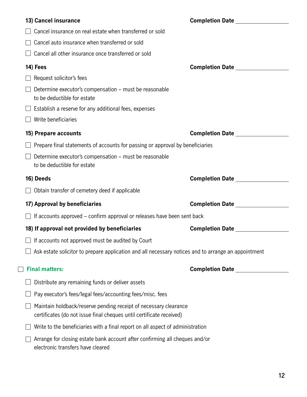| 13) Cancel insurance                                                                                                                     | Completion Date <u>Completion</u>      |
|------------------------------------------------------------------------------------------------------------------------------------------|----------------------------------------|
| Cancel insurance on real estate when transferred or sold                                                                                 |                                        |
| Cancel auto insurance when transferred or sold                                                                                           |                                        |
| Cancel all other insurance once transferred or sold                                                                                      |                                        |
| 14) Fees                                                                                                                                 | <b>Completion Date Completion Date</b> |
| Request solicitor's fees                                                                                                                 |                                        |
| Determine executor's compensation – must be reasonable<br>to be deductible for estate                                                    |                                        |
| Establish a reserve for any additional fees, expenses                                                                                    |                                        |
| Write beneficiaries                                                                                                                      |                                        |
| 15) Prepare accounts                                                                                                                     |                                        |
| Prepare final statements of accounts for passing or approval by beneficiaries                                                            |                                        |
| Determine executor's compensation - must be reasonable<br>to be deductible for estate                                                    |                                        |
| 16) Deeds                                                                                                                                | Completion Date _______________        |
| Obtain transfer of cemetery deed if applicable                                                                                           |                                        |
| 17) Approval by beneficiaries                                                                                                            |                                        |
| If accounts approved – confirm approval or releases have been sent back                                                                  |                                        |
| 18) If approval not provided by beneficiaries                                                                                            | <b>Completion Date</b>                 |
| $\Box$ If accounts not approved must be audited by Court                                                                                 |                                        |
| Ask estate solicitor to prepare application and all necessary notices and to arrange an appointment                                      |                                        |
| <b>Final matters:</b>                                                                                                                    | <b>Completion Date</b>                 |
| Distribute any remaining funds or deliver assets                                                                                         |                                        |
| Pay executor's fees/legal fees/accounting fees/misc. fees                                                                                |                                        |
| Maintain holdback/reserve pending receipt of necessary clearance<br>certificates (do not issue final cheques until certificate received) |                                        |
| Write to the beneficiaries with a final report on all aspect of administration                                                           |                                        |
| Arrange for closing estate bank account after confirming all cheques and/or<br>electronic transfers have cleared                         |                                        |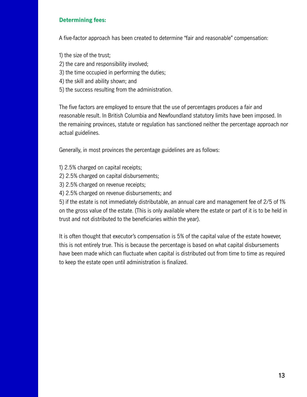#### **Determining fees:**

A five-factor approach has been created to determine "fair and reasonable" compensation:

- 1) the size of the trust;
- 2) the care and responsibility involved;
- 3) the time occupied in performing the duties;
- 4) the skill and ability shown; and
- 5) the success resulting from the administration.

The five factors are employed to ensure that the use of percentages produces a fair and reasonable result. In British Columbia and Newfoundland statutory limits have been imposed. In the remaining provinces, statute or regulation has sanctioned neither the percentage approach nor actual guidelines.

Generally, in most provinces the percentage guidelines are as follows:

- 1) 2.5% charged on capital receipts;
- 2) 2.5% charged on capital disbursements;
- 3) 2.5% charged on revenue receipts;
- 4) 2.5% charged on revenue disbursements; and

5) if the estate is not immediately distributable, an annual care and management fee of 2/5 of 1% on the gross value of the estate. (This is only available where the estate or part of it is to be held in trust and not distributed to the beneficiaries within the year).

It is often thought that executor's compensation is 5% of the capital value of the estate however, this is not entirely true. This is because the percentage is based on what capital disbursements have been made which can fluctuate when capital is distributed out from time to time as required to keep the estate open until administration is finalized.